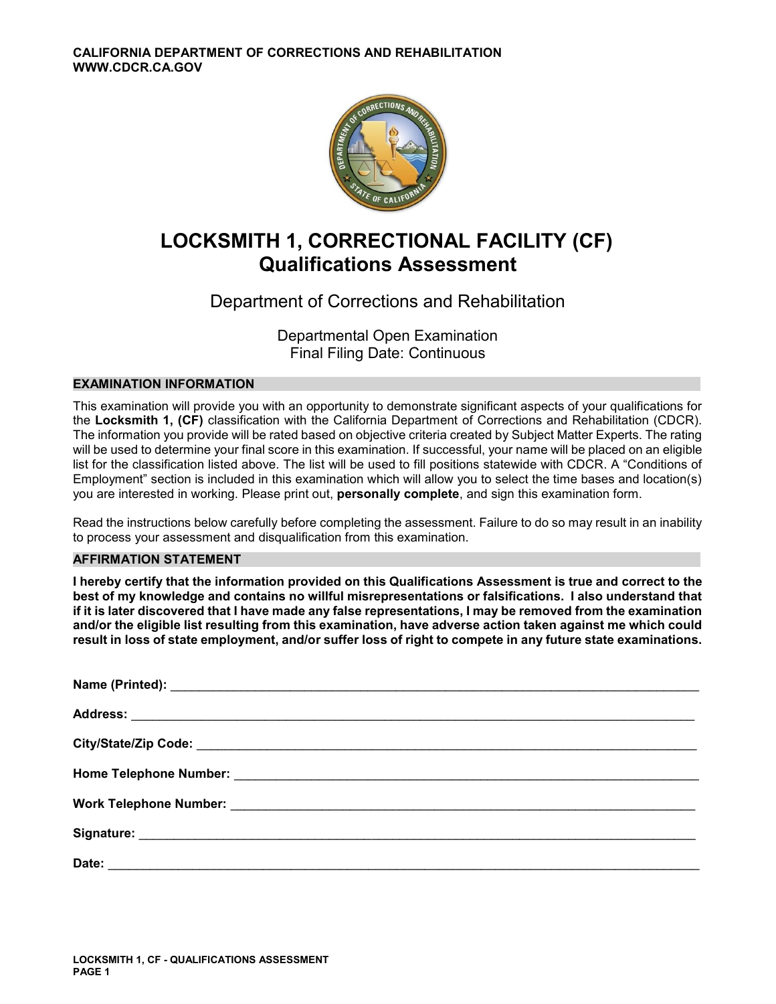

# **LOCKSMITH 1, CORRECTIONAL FACILITY (CF) Qualifications Assessment**

# Department of Corrections and Rehabilitation

Departmental Open Examination Final Filing Date: Continuous

### **EXAMINATION INFORMATION**

This examination will provide you with an opportunity to demonstrate significant aspects of your qualifications for the **Locksmith 1, (CF)** classification with the California Department of Corrections and Rehabilitation (CDCR). The information you provide will be rated based on objective criteria created by Subject Matter Experts. The rating will be used to determine your final score in this examination. If successful, your name will be placed on an eligible list for the classification listed above. The list will be used to fill positions statewide with CDCR. A "Conditions of Employment" section is included in this examination which will allow you to select the time bases and location(s) you are interested in working. Please print out, **personally complete**, and sign this examination form.

Read the instructions below carefully before completing the assessment. Failure to do so may result in an inability to process your assessment and disqualification from this examination.

### **AFFIRMATION STATEMENT**

**I hereby certify that the information provided on this Qualifications Assessment is true and correct to the best of my knowledge and contains no willful misrepresentations or falsifications. I also understand that if it is later discovered that I have made any false representations, I may be removed from the examination and/or the eligible list resulting from this examination, have adverse action taken against me which could result in loss of state employment, and/or suffer loss of right to compete in any future state examinations.**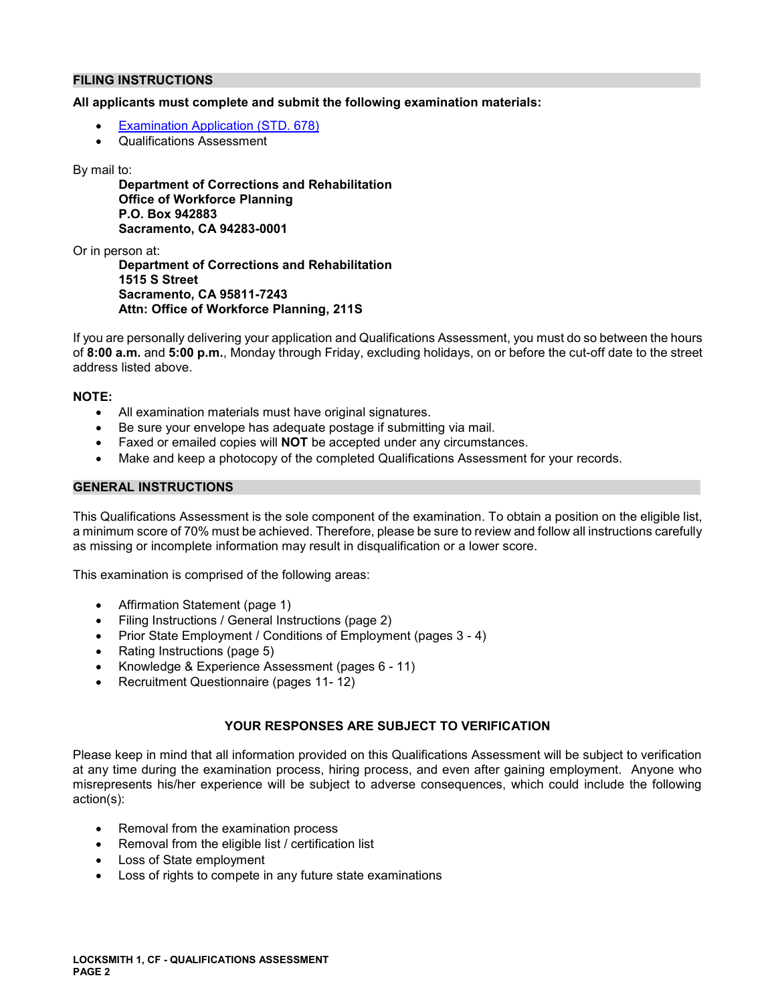#### **FILING INSTRUCTIONS**

### **All applicants must complete and submit the following examination materials:**

- [Examination Application \(STD. 678\)](https://jobs.ca.gov/pdf/STD678.pdf)
- Qualifications Assessment

#### By mail to:

**Department of Corrections and Rehabilitation Office of Workforce Planning P.O. Box 942883 Sacramento, CA 94283-0001** 

Or in person at:

**Department of Corrections and Rehabilitation 1515 S Street Sacramento, CA 95811-7243 Attn: Office of Workforce Planning, 211S** 

If you are personally delivering your application and Qualifications Assessment, you must do so between the hours of **8:00 a.m.** and **5:00 p.m.**, Monday through Friday, excluding holidays, on or before the cut-off date to the street address listed above.

#### **NOTE:**

- All examination materials must have original signatures.
- Be sure your envelope has adequate postage if submitting via mail.
- Faxed or emailed copies will **NOT** be accepted under any circumstances.
- Make and keep a photocopy of the completed Qualifications Assessment for your records.

#### **GENERAL INSTRUCTIONS**

This Qualifications Assessment is the sole component of the examination. To obtain a position on the eligible list, a minimum score of 70% must be achieved. Therefore, please be sure to review and follow all instructions carefully as missing or incomplete information may result in disqualification or a lower score.

This examination is comprised of the following areas:

- Affirmation Statement (page 1)
- Filing Instructions / General Instructions (page 2)
- Prior State Employment / Conditions of Employment (pages 3 4)
- Rating Instructions (page 5)
- Knowledge & Experience Assessment (pages 6 11)
- Recruitment Questionnaire (pages 11-12)

### **YOUR RESPONSES ARE SUBJECT TO VERIFICATION**

Please keep in mind that all information provided on this Qualifications Assessment will be subject to verification at any time during the examination process, hiring process, and even after gaining employment. Anyone who misrepresents his/her experience will be subject to adverse consequences, which could include the following action(s):

- Removal from the examination process
- Removal from the eligible list / certification list
- Loss of State employment
- Loss of rights to compete in any future state examinations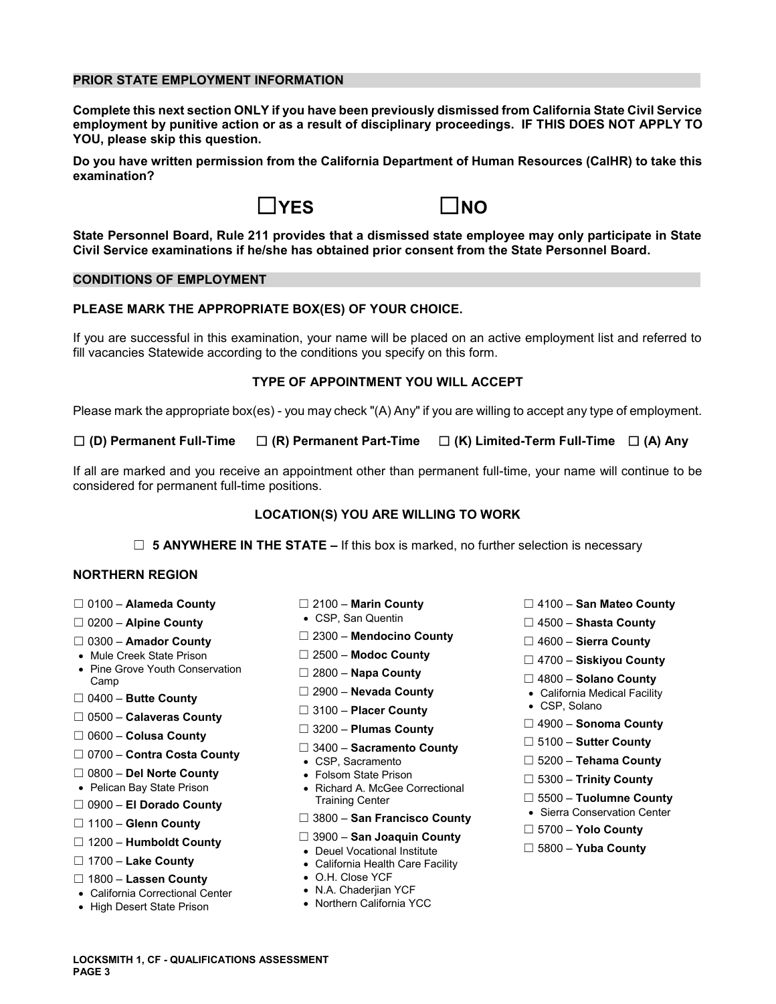#### **PRIOR STATE EMPLOYMENT INFORMATION**

**Complete this next section ONLY if you have been previously dismissed from California State Civil Service employment by punitive action or as a result of disciplinary proceedings. IF THIS DOES NOT APPLY TO YOU, please skip this question.** 

**Do you have written permission from the California Department of Human Resources (CalHR) to take this examination?** 





**State Personnel Board, Rule 211 provides that a dismissed state employee may only participate in State Civil Service examinations if he/she has obtained prior consent from the State Personnel Board.** 

#### **CONDITIONS OF EMPLOYMENT**

#### **PLEASE MARK THE APPROPRIATE BOX(ES) OF YOUR CHOICE.**

If you are successful in this examination, your name will be placed on an active employment list and referred to fill vacancies Statewide according to the conditions you specify on this form.

#### **TYPE OF APPOINTMENT YOU WILL ACCEPT**

Please mark the appropriate box(es) - you may check "(A) Any" if you are willing to accept any type of employment.

☐ **(D) Permanent Full-Time** ☐ **(R) Permanent Part-Time** ☐ **(K) Limited-Term Full-Time** ☐ **(A) Any** 

If all are marked and you receive an appointment other than permanent full-time, your name will continue to be considered for permanent full-time positions.

#### **LOCATION(S) YOU ARE WILLING TO WORK**

☐ **5 ANYWHERE IN THE STATE –** If this box is marked, no further selection is necessary

#### **NORTHERN REGION**

- 
- 
- 
- 
- Mule Creek State Prison ☐ 2500 **Modoc County** ☐ 4700 **Siskiyou County**  Pine Grove Youth Conservation ☐ 2800 **Napa County** Camp ☐ 4800 **Solano County**
- 
- ☐ 0500 **Calaveras County**
- 
- ☐ ☐ 5100 **Sutter County** 3400 **Sacramento County** ☐ 0700 **Contra Costa County**  CSP, Sacramento ☐ 5200 **Tehama County**
- 
- 
- 
- 
- ☐ ☐ 3900 **San Joaquin County** 1200 **Humboldt County**  Deuel Vocational Institute ☐ 5800 **Yuba County**
- 
- ☐ 1800 **Lassen County**  O.H. Close YCF
- California Correctional Center N.A. Chaderjian YCF
- High Desert State Prison
- 
- 
- ☐ ☐ 2300 **Mendocino County** 0300 **Amador County** ☐ 4600 **Sierra County** 
	-
	-
	-
	- □ 3100 Placer County
	-
- ☐ ☐ 4900 **Sonoma County** 3200 **Plumas County** ☐ 0600 **Colusa County** 
	-
	-
- ☐ 0800 **Del Norte County**  Folsom State Prison ☐ 5300 **Trinity County**  Pelican Bay State Prison Richard A. McGee Correctional □ 5500 – **El Dorado County**<br>
□ 5500 – **El Dorado County**<br>
□ 1100 – **Glenn County**  $\Box$  3800 – **San Francisco County** • Sierra Conservation Center
	- ☐ ☐ 3800 **San Francisco County**
- 1100 **Glenn County** ☐ 5700 **Yolo County** 
	-
	- California Health Care Facility
	-
	-
	-
- ☐ 0100 **Alameda County** ☐ 2100 **Marin County** ☐ 4100 **San Mateo County**
- ☐ 0200 **Alpine County**  CSP, San Quentin ☐ 4500 **Shasta County** 
	-
	-
	-
- ☐ 2900 **Nevada County** California Medical Facility ☐ 0400 **Butte County** 
	-
	-
	-
	-
	-
	-
	-
	-
	-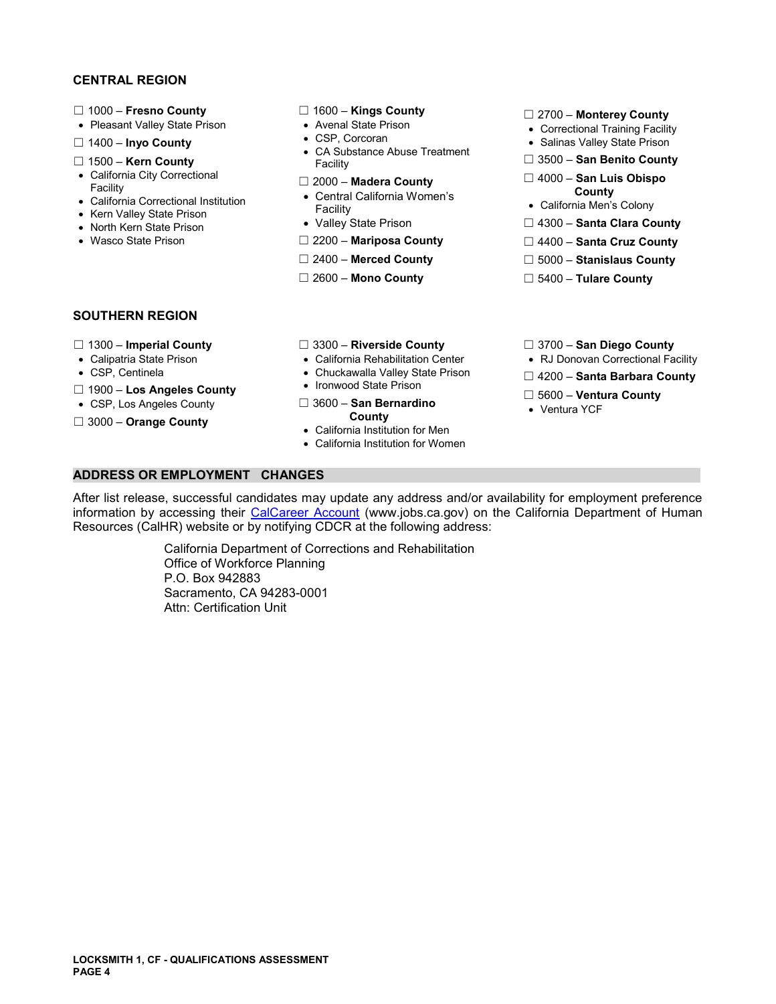#### **CENTRAL REGION**

- 
- 
- 
- 
- 
- 
- 
- 
- 

- 
- 
- □ 1400 **Inyo County** <br>CA Substance Abuse Treatment **Can Benito Count <br>Facility Facility** Facility Count Count and Discount Each Prison **Count** ☐ 1500 – **Kern County** Facility ☐ 3500 – **San Benito County** 
	-
- County<br>
California Correctional Institution California Correctional Institution California Women's<br>
Facility Facility California Men's Colony California Men's Colony<br>
North Kern State Prison Valley State Prison □ 4300
	-
	-
	-
	-

- ☐ 1000 **Fresno County** ☐ 1600 **Kings County** ☐ 2700 **Monterey County**  Pleasant Valley State Prison Avenal State Prison Correctional Training Facility
	-
	-
- California City Correctional ☐ 2000 **Madera County** ☐ 4000 **San Luis Obispo** Facility Central California Women's **County**  California Correctional Institution
	-
- North Kern State Prison Valley State Prison □ 4300 **Santa Clara County**
- Wasco State Prison ☐ 2200 **Mariposa County** ☐ 4400 **Santa Cruz County** 
	- ☐ 2400 **Merced County** ☐ 5000 **Stanislaus County**
	- ☐ 2600 **Mono County** ☐ 5400 **Tulare County**

#### **SOUTHERN REGION**

- 
- 
- 
- ☐ 1900 **Los Angeles County**  Ironwood State Prison
- 
- 
- 
- Calipatria State Prison California Rehabilitation Center RJ Donovan Correctional Facility
	-

California Institution for Women

- 
- ☐ 5600 **Ventura County**  CSP, Los Angeles County ☐ 3600 **San Bernardino**  Ventura YCF • California Institution for Men
- ☐ 1300 **Imperial County** ☐ 3300 **Riverside County** ☐ 3700 **San Diego County** 
	-
- CSP, Centinela **Chuckawalla Valley State Prison** □ 4200 **Santa Barbara County 1000 Lice Angeles County** Ironwood State Prison
	-
	-

**ADDRESS OR EMPLOYMENT CHANGES** 

After list release, successful candidates may update any address and/or availability for employment preference information by accessing their [CalCareer Account](https://www.jobs.ca.gov/) [\(www.jobs.ca.gov](www.jobs.ca.gov)) on the California Department of Human Resources (CalHR) website or by notifying CDCR at the following address:

> California Department of Corrections and Rehabilitation Office of Workforce Planning P.O. Box 942883 Sacramento, CA 94283-0001 Attn: Certification Unit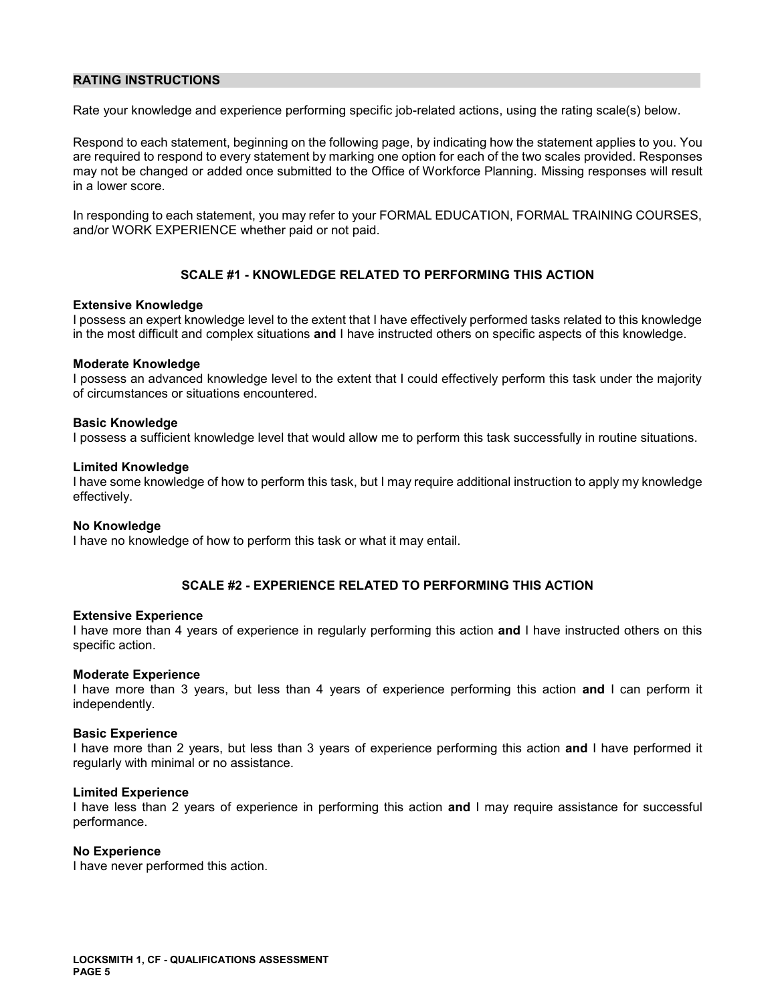#### **RATING INSTRUCTIONS**

Rate your knowledge and experience performing specific job-related actions, using the rating scale(s) below.

Respond to each statement, beginning on the following page, by indicating how the statement applies to you. You are required to respond to every statement by marking one option for each of the two scales provided. Responses may not be changed or added once submitted to the Office of Workforce Planning. Missing responses will result in a lower score.

In responding to each statement, you may refer to your FORMAL EDUCATION, FORMAL TRAINING COURSES, and/or WORK EXPERIENCE whether paid or not paid.

### **SCALE #1 - KNOWLEDGE RELATED TO PERFORMING THIS ACTION**

#### **Extensive Knowledge**

I possess an expert knowledge level to the extent that I have effectively performed tasks related to this knowledge in the most difficult and complex situations **and** I have instructed others on specific aspects of this knowledge.

#### **Moderate Knowledge**

I possess an advanced knowledge level to the extent that I could effectively perform this task under the majority of circumstances or situations encountered.

#### **Basic Knowledge**

I possess a sufficient knowledge level that would allow me to perform this task successfully in routine situations.

#### **Limited Knowledge**

I have some knowledge of how to perform this task, but I may require additional instruction to apply my knowledge effectively.

#### **No Knowledge**

I have no knowledge of how to perform this task or what it may entail.

#### **SCALE #2 - EXPERIENCE RELATED TO PERFORMING THIS ACTION**

#### **Extensive Experience**

I have more than 4 years of experience in regularly performing this action **and** I have instructed others on this specific action.

#### **Moderate Experience**

I have more than 3 years, but less than 4 years of experience performing this action **and** I can perform it independently.

#### **Basic Experience**

I have more than 2 years, but less than 3 years of experience performing this action **and** I have performed it regularly with minimal or no assistance.

#### **Limited Experience**

I have less than 2 years of experience in performing this action **and** I may require assistance for successful performance.

#### **No Experience**

I have never performed this action.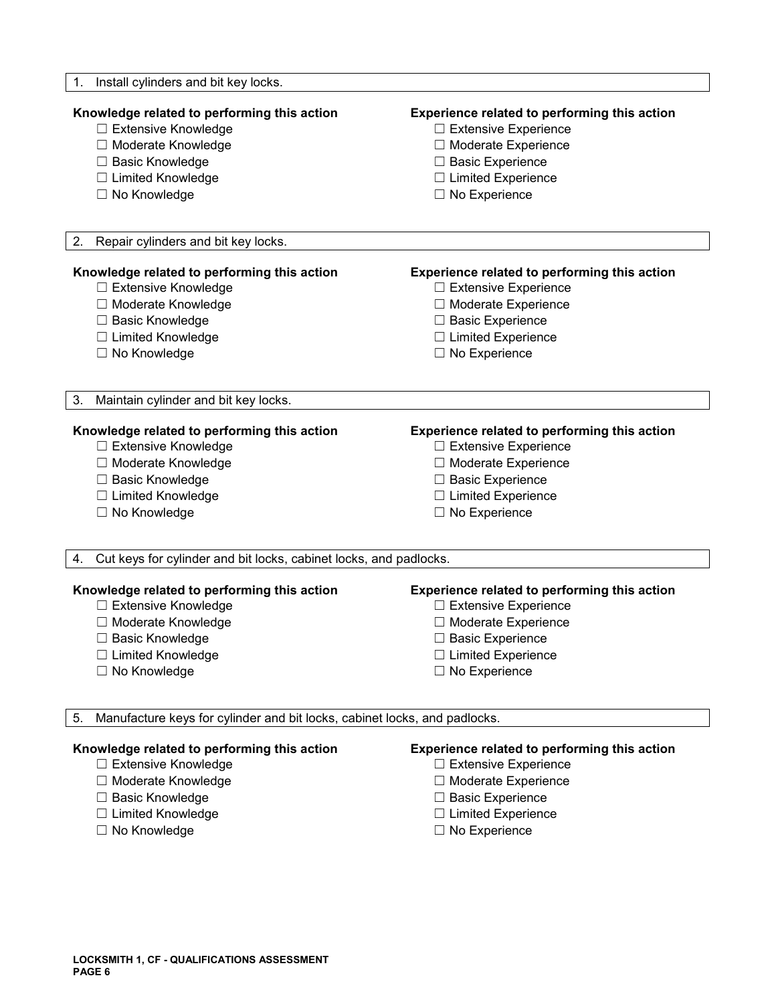| Install cylinders and bit key locks.<br>1.                                      |                                              |
|---------------------------------------------------------------------------------|----------------------------------------------|
| Knowledge related to performing this action                                     | Experience related to performing this action |
| □ Extensive Knowledge                                                           | $\Box$ Extensive Experience                  |
| □ Moderate Knowledge                                                            | □ Moderate Experience                        |
| □ Basic Knowledge                                                               | □ Basic Experience                           |
| □ Limited Knowledge                                                             | $\Box$ Limited Experience                    |
| □ No Knowledge                                                                  | $\Box$ No Experience                         |
| 2.<br>Repair cylinders and bit key locks.                                       |                                              |
| Knowledge related to performing this action                                     | Experience related to performing this action |
| □ Extensive Knowledge                                                           | $\Box$ Extensive Experience                  |
| □ Moderate Knowledge                                                            | □ Moderate Experience                        |
| □ Basic Knowledge                                                               | □ Basic Experience                           |
| □ Limited Knowledge                                                             | $\Box$ Limited Experience                    |
| □ No Knowledge                                                                  | $\Box$ No Experience                         |
| 3.<br>Maintain cylinder and bit key locks.                                      |                                              |
| Knowledge related to performing this action                                     | Experience related to performing this action |
| □ Extensive Knowledge                                                           | $\Box$ Extensive Experience                  |
| □ Moderate Knowledge                                                            | □ Moderate Experience                        |
| □ Basic Knowledge                                                               | $\Box$ Basic Experience                      |
| □ Limited Knowledge                                                             | $\Box$ Limited Experience                    |
| □ No Knowledge                                                                  | $\Box$ No Experience                         |
| Cut keys for cylinder and bit locks, cabinet locks, and padlocks.<br>4.         |                                              |
| Knowledge related to performing this action                                     | Experience related to performing this action |
| □ Extensive Knowledge                                                           | □ Extensive Experience                       |
| □ Moderate Knowledge                                                            | □ Moderate Experience                        |
| $\Box$ Basic Knowledge                                                          | □ Basic Experience                           |
| □ Limited Knowledge                                                             | $\Box$ Limited Experience                    |
| □ No Knowledge                                                                  | $\Box$ No Experience                         |
| Manufacture keys for cylinder and bit locks, cabinet locks, and padlocks.<br>5. |                                              |
| Knowledge related to performing this action                                     | Experience related to performing this action |
| □ Extensive Knowledge                                                           | $\Box$ Extensive Experience                  |
| □ Moderate Knowledge                                                            | □ Moderate Experience                        |
| □ Basic Knowledge                                                               | $\Box$ Basic Experience                      |
| □ Limited Knowledge                                                             | $\Box$ Limited Experience                    |
| □ No Knowledge                                                                  | $\Box$ No Experience                         |

- 
- □ No Experience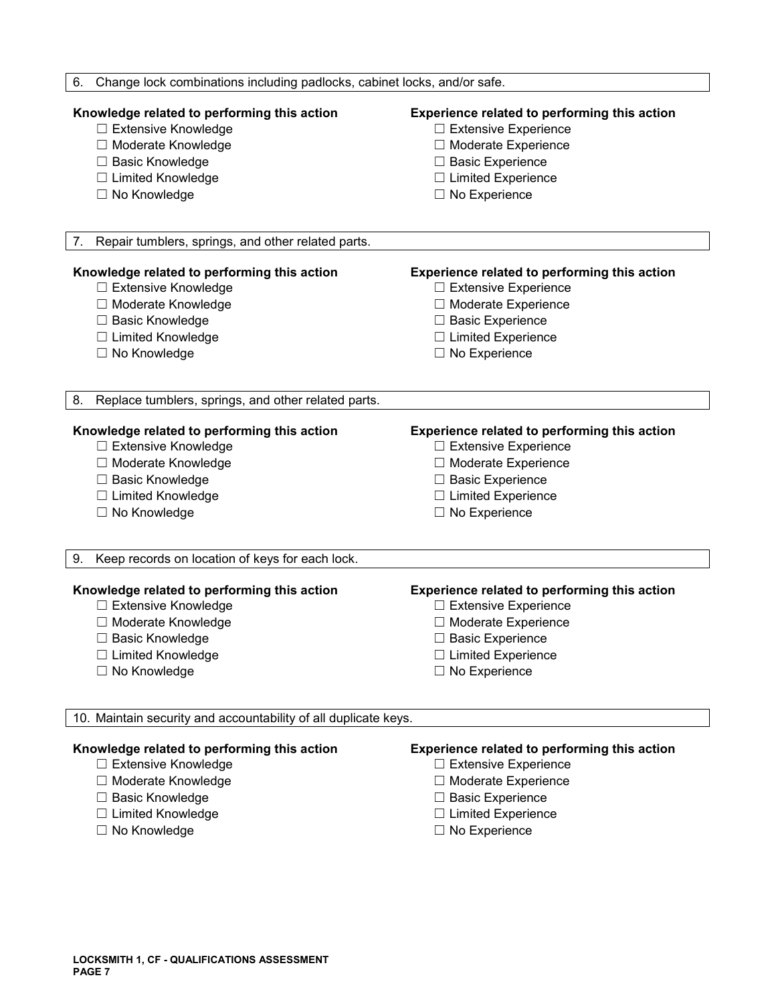| Change lock combinations including padlocks, cabinet locks, and/or safe.<br>6.                                                                             |                                                                                                                                                                                 |
|------------------------------------------------------------------------------------------------------------------------------------------------------------|---------------------------------------------------------------------------------------------------------------------------------------------------------------------------------|
| Knowledge related to performing this action<br>□ Extensive Knowledge<br>□ Moderate Knowledge<br>□ Basic Knowledge<br>□ Limited Knowledge<br>□ No Knowledge | Experience related to performing this action<br>$\Box$ Extensive Experience<br>□ Moderate Experience<br>$\Box$ Basic Experience<br>□ Limited Experience<br>$\Box$ No Experience |
| Repair tumblers, springs, and other related parts.<br>7.                                                                                                   |                                                                                                                                                                                 |
|                                                                                                                                                            |                                                                                                                                                                                 |
| Knowledge related to performing this action                                                                                                                | Experience related to performing this action                                                                                                                                    |
| □ Extensive Knowledge                                                                                                                                      | $\Box$ Extensive Experience                                                                                                                                                     |
| □ Moderate Knowledge                                                                                                                                       | □ Moderate Experience                                                                                                                                                           |
| □ Basic Knowledge                                                                                                                                          | $\Box$ Basic Experience                                                                                                                                                         |
| □ Limited Knowledge                                                                                                                                        | $\Box$ Limited Experience                                                                                                                                                       |
| □ No Knowledge                                                                                                                                             | $\Box$ No Experience                                                                                                                                                            |
| 8.<br>Replace tumblers, springs, and other related parts.                                                                                                  |                                                                                                                                                                                 |
| Knowledge related to performing this action                                                                                                                | <b>Experience related to performing this action</b>                                                                                                                             |
| □ Extensive Knowledge                                                                                                                                      | □ Extensive Experience                                                                                                                                                          |
| □ Moderate Knowledge                                                                                                                                       | □ Moderate Experience                                                                                                                                                           |
| □ Basic Knowledge                                                                                                                                          | □ Basic Experience                                                                                                                                                              |
| □ Limited Knowledge                                                                                                                                        | $\Box$ Limited Experience                                                                                                                                                       |
| $\Box$ No Knowledge                                                                                                                                        | $\Box$ No Experience                                                                                                                                                            |
| Keep records on location of keys for each lock.<br>9.                                                                                                      |                                                                                                                                                                                 |
| Knowledge related to performing this action                                                                                                                | Experience related to performing this action                                                                                                                                    |
| □ Extensive Knowledge                                                                                                                                      | $\Box$ Extensive Experience                                                                                                                                                     |
| □ Moderate Knowledge                                                                                                                                       | □ Moderate Experience                                                                                                                                                           |
| $\Box$ Basic Knowledge                                                                                                                                     | $\Box$ Basic Experience                                                                                                                                                         |
| □ Limited Knowledge                                                                                                                                        | $\Box$ Limited Experience                                                                                                                                                       |
| □ No Knowledge                                                                                                                                             | $\Box$ No Experience                                                                                                                                                            |
| 10. Maintain security and accountability of all duplicate keys.                                                                                            |                                                                                                                                                                                 |
| Knowledge related to performing this action                                                                                                                | Experience related to performing this action                                                                                                                                    |
| □ Extensive Knowledge                                                                                                                                      | □ Extensive Experience                                                                                                                                                          |
| □ Moderate Knowledge                                                                                                                                       | □ Moderate Experience                                                                                                                                                           |
| □ Basic Knowledge                                                                                                                                          | □ Basic Experience                                                                                                                                                              |
| □ Limited Knowledge                                                                                                                                        | $\Box$ Limited Experience                                                                                                                                                       |
| □ No Knowledge                                                                                                                                             | $\Box$ No Experience                                                                                                                                                            |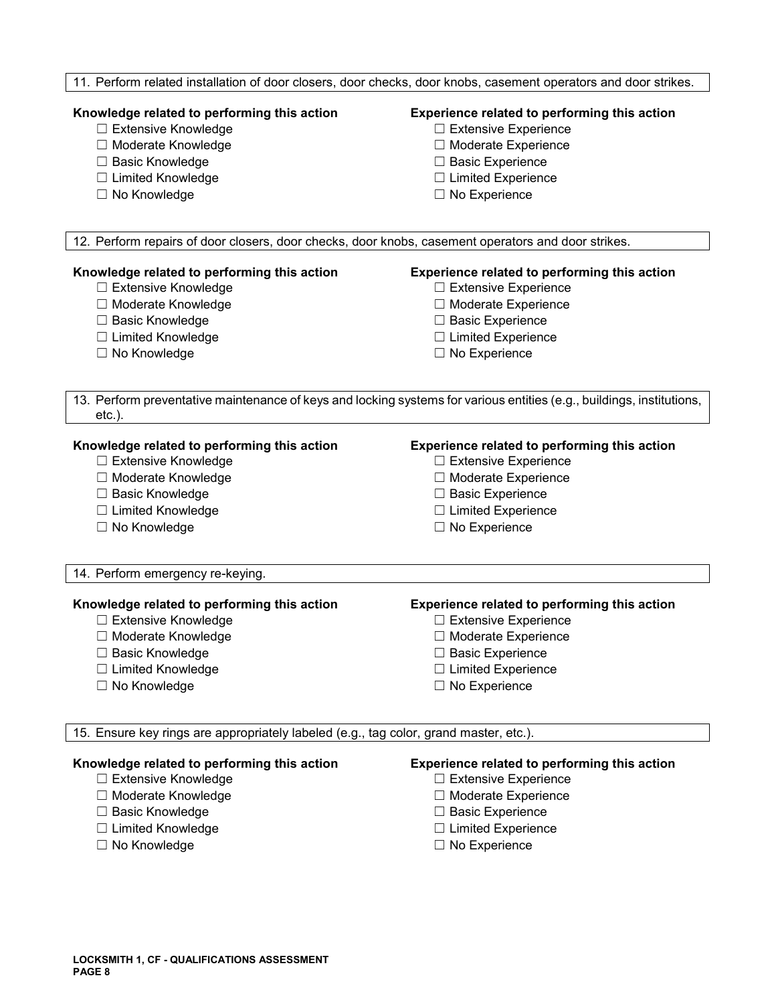#### 11. Perform related installation of door closers, door checks, door knobs, casement operators and door strikes.

#### **Knowledge related to performing this action Experience related to performing this action**

- 
- 
- 
- ☐ Limited Knowledge ☐ Limited Experience
- 

- ☐ Extensive Knowledge ☐ Extensive Experience
- ☐ Moderate Knowledge ☐ Moderate Experience
- ☐ Basic Knowledge ☐ Basic Experience
	-
- ☐ No Knowledge ☐ No Experience

12. Perform repairs of door closers, door checks, door knobs, casement operators and door strikes.

- 
- 
- 
- ☐ Limited Knowledge ☐ Limited Experience
- 

#### **Knowledge related to performing this action Experience related to performing this action**

- ☐ Extensive Knowledge ☐ Extensive Experience
- ☐ Moderate Knowledge ☐ Moderate Experience
- ☐ Basic Knowledge ☐ Basic Experience
	-
- ☐ No Knowledge ☐ No Experience

13. Perform preventative maintenance of keys and locking systems for various entities (e.g., buildings, institutions, etc.).

- ☐ Extensive Knowledge ☐ Extensive Experience
- ☐ Moderate Knowledge ☐ Moderate Experience
- 
- ☐ Limited Knowledge ☐ Limited Experience
- 

#### **Knowledge related to performing this action Experience related to performing this action**

- 
- 
- ☐ Basic Knowledge ☐ Basic Experience
	-
- ☐ No Knowledge ☐ No Experience

14. Perform emergency re-keying.

#### **Knowledge related to performing this action Experience related to performing this action**

- ☐ Extensive Knowledge ☐ Extensive Experience
- 
- ☐ Basic Knowledge ☐ Basic Experience
- ☐ Limited Knowledge ☐ Limited Experience
- ☐ No Knowledge ☐ No Experience

- 
- ☐ Moderate Knowledge ☐ Moderate Experience
	-
	-
	-

15. Ensure key rings are appropriately labeled (e.g., tag color, grand master, etc.).

- 
- ☐ Moderate Knowledge ☐ Moderate Experience
- ☐ Basic Knowledge ☐ Basic Experience
- 
- ☐ No Knowledge ☐ No Experience

### **Knowledge related to performing this action Experience related to performing this action**

- ☐ Extensive Knowledge ☐ Extensive Experience
	-
	-
- ☐ Limited Knowledge ☐ Limited Experience
	-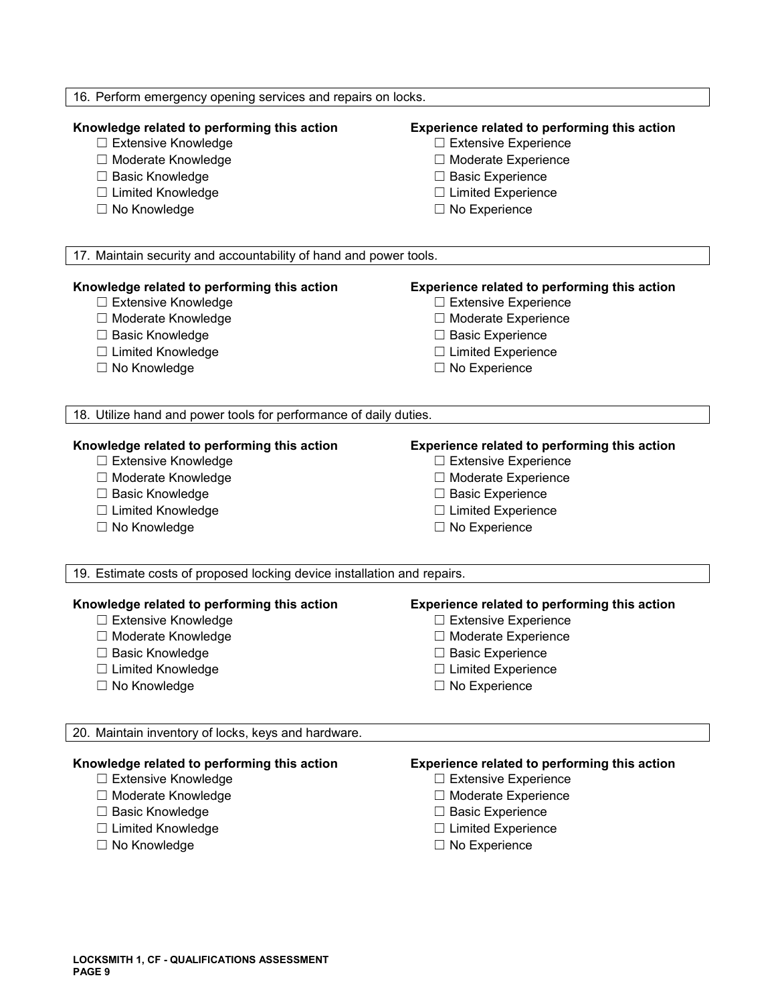| 16. Perform emergency opening services and repairs on locks.            |                                                     |  |
|-------------------------------------------------------------------------|-----------------------------------------------------|--|
| Knowledge related to performing this action                             | Experience related to performing this action        |  |
| □ Extensive Knowledge                                                   | $\Box$ Extensive Experience                         |  |
| □ Moderate Knowledge                                                    | □ Moderate Experience                               |  |
| □ Basic Knowledge                                                       | $\Box$ Basic Experience                             |  |
| $\Box$ Limited Knowledge                                                | $\Box$ Limited Experience                           |  |
| $\Box$ No Knowledge                                                     | $\Box$ No Experience                                |  |
| 17. Maintain security and accountability of hand and power tools.       |                                                     |  |
| Knowledge related to performing this action                             | <b>Experience related to performing this action</b> |  |
| □ Extensive Knowledge                                                   | $\Box$ Extensive Experience                         |  |
| □ Moderate Knowledge                                                    | □ Moderate Experience                               |  |
| □ Basic Knowledge                                                       | $\Box$ Basic Experience                             |  |
| □ Limited Knowledge                                                     | $\Box$ Limited Experience                           |  |
| □ No Knowledge                                                          | $\Box$ No Experience                                |  |
| 18. Utilize hand and power tools for performance of daily duties.       |                                                     |  |
| Knowledge related to performing this action                             | Experience related to performing this action        |  |
| □ Extensive Knowledge                                                   | $\Box$ Extensive Experience                         |  |
| □ Moderate Knowledge                                                    | □ Moderate Experience                               |  |
| □ Basic Knowledge                                                       | $\Box$ Basic Experience                             |  |
| □ Limited Knowledge                                                     | □ Limited Experience                                |  |
| □ No Knowledge                                                          | $\Box$ No Experience                                |  |
| 19. Estimate costs of proposed locking device installation and repairs. |                                                     |  |
| Knowledge related to performing this action                             | Experience related to performing this action        |  |
| $\Box$ Extensive Knowledge                                              | $\Box$ Extensive Experience                         |  |
| □ Moderate Knowledge                                                    | □ Moderate Experience                               |  |
| □ Basic Knowledge                                                       | □ Basic Experience                                  |  |
| $\Box$ Limited Knowledge                                                | $\Box$ Limited Experience                           |  |
| □ No Knowledge                                                          | $\Box$ No Experience                                |  |
| 20. Maintain inventory of locks, keys and hardware.                     |                                                     |  |
| Knowledge related to performing this action                             | Experience related to performing this action        |  |
| □ Extensive Knowledge                                                   | $\Box$ Extensive Experience                         |  |
| □ Moderate Knowledge                                                    | □ Moderate Experience                               |  |
| □ Basic Knowledge                                                       | $\Box$ Basic Experience                             |  |
| □ Limited Knowledge                                                     | $\Box$ Limited Experience                           |  |
| □ No Knowledge                                                          | $\Box$ No Experience                                |  |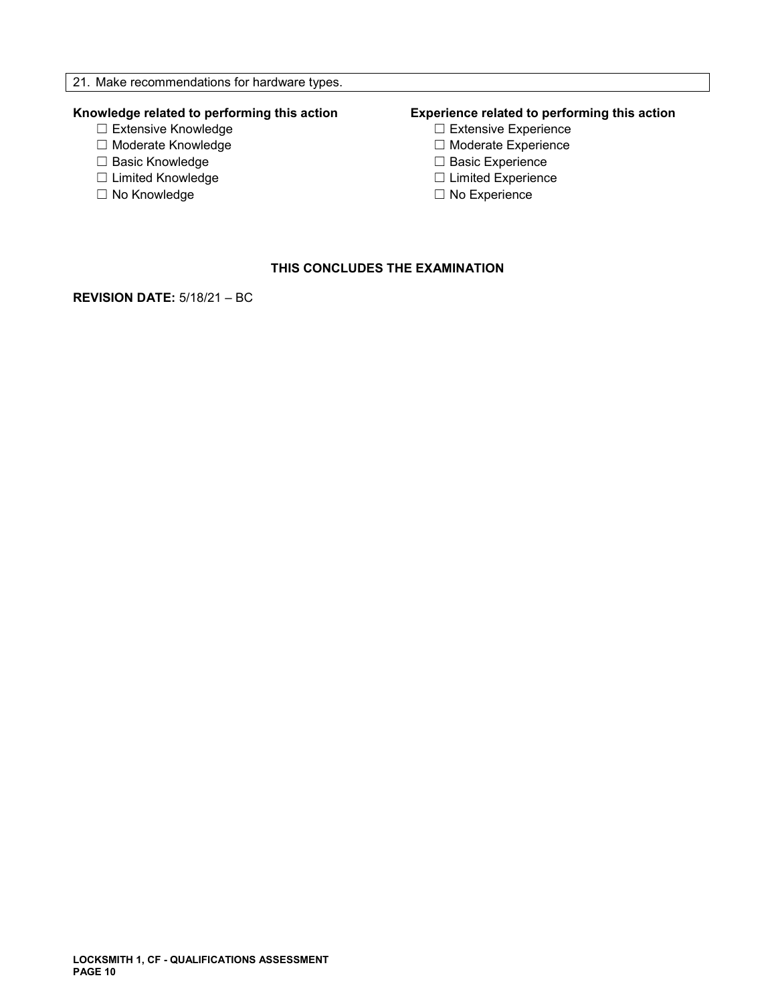- 
- 
- ☐ Basic Knowledge ☐ Basic Experience
- ☐ Limited Knowledge ☐ Limited Experience
- 

# **Knowledge related to performing this action Experience related to performing this action**

- □ Extensive Experience
- ☐ Moderate Knowledge ☐ Moderate Experience
	-
	-
- ☐ No Knowledge ☐ No Experience

## **THIS CONCLUDES THE EXAMINATION**

**REVISION DATE:** 5/18/21 – BC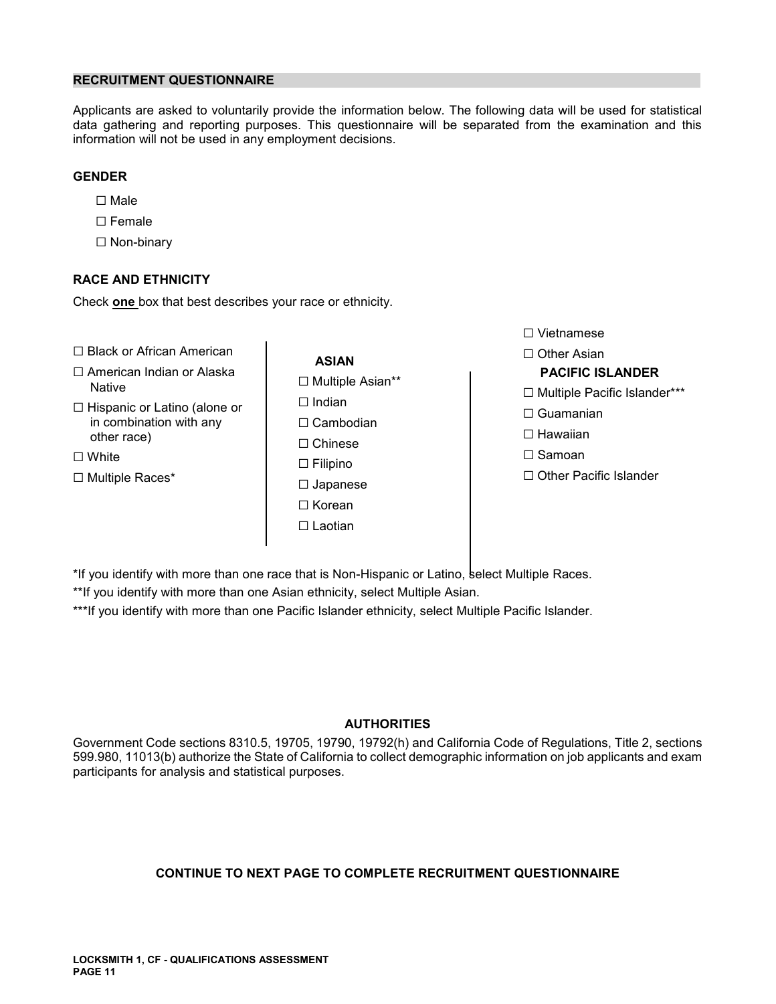#### **RECRUITMENT QUESTIONNAIRE**

Applicants are asked to voluntarily provide the information below. The following data will be used for statistical data gathering and reporting purposes. This questionnaire will be separated from the examination and this information will not be used in any employment decisions.

### **GENDER**

- ☐ Male
- ☐ Female
- ☐ Non-binary

### **RACE AND ETHNICITY**

Check **one** box that best describes your race or ethnicity.

- ☐ Black or African American ☐ Other Asian **ASIAN**
- ☐ American Indian or Alaska **PACIFIC ISLANDER** ☐ Multiple Asian\*\* Native ☐ Multiple Pacific Islander\*\*\*
- □ Hispanic or Latino (alone or □ □ Indian Thispanic of Latino (alone of  $\Box$  Cambodian in combination with any  $\Box$  Cambodian  $\Box$  Cambodian  $\Box$  Hawaiian  $\Box$  Hawaiian other race)  $\Box$  Hawaiian
- 
- 
- ☐ Chinese ☐ White ☐ Samoan ☐ Filipino ☐ Japanese ☐ Korean ☐ Laotian

☐ Vietnamese

- 
- 
- 
- 
- ☐ Multiple Races\* ☐ Other Pacific Islander

\*If you identify with more than one race that is Non-Hispanic or Latino, select Multiple Races.

\*\*If you identify with more than one Asian ethnicity, select Multiple Asian.

\*\*\*If you identify with more than one Pacific Islander ethnicity, select Multiple Pacific Islander.

### **AUTHORITIES**

Government Code sections 8310.5, 19705, 19790, 19792(h) and California Code of Regulations, Title 2, sections 599.980, 11013(b) authorize the State of California to collect demographic information on job applicants and exam participants for analysis and statistical purposes.

### **CONTINUE TO NEXT PAGE TO COMPLETE RECRUITMENT QUESTIONNAIRE**